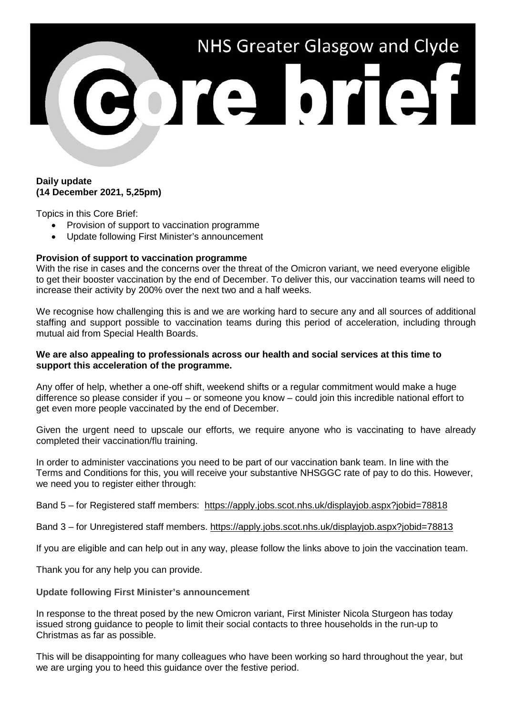

## **Daily update (14 December 2021, 5,25pm)**

Topics in this Core Brief:

- Provision of support to vaccination programme
- Update following First Minister's announcement

## **Provision of support to vaccination programme**

With the rise in cases and the concerns over the threat of the Omicron variant, we need everyone eligible to get their booster vaccination by the end of December. To deliver this, our vaccination teams will need to increase their activity by 200% over the next two and a half weeks.

We recognise how challenging this is and we are working hard to secure any and all sources of additional staffing and support possible to vaccination teams during this period of acceleration, including through mutual aid from Special Health Boards.

## **We are also appealing to professionals across our health and social services at this time to support this acceleration of the programme.**

Any offer of help, whether a one-off shift, weekend shifts or a regular commitment would make a huge difference so please consider if you – or someone you know – could join this incredible national effort to get even more people vaccinated by the end of December.

Given the urgent need to upscale our efforts, we require anyone who is vaccinating to have already completed their vaccination/flu training.

In order to administer vaccinations you need to be part of our vaccination bank team. In line with the Terms and Conditions for this, you will receive your substantive NHSGGC rate of pay to do this. However, we need you to register either through:

Band 5 – for Registered staff members: <https://apply.jobs.scot.nhs.uk/displayjob.aspx?jobid=78818>

Band 3 – for Unregistered staff members.<https://apply.jobs.scot.nhs.uk/displayjob.aspx?jobid=78813>

If you are eligible and can help out in any way, please follow the links above to join the vaccination team.

Thank you for any help you can provide.

**Update following First Minister's announcement**

In response to the threat posed by the new Omicron variant, First Minister Nicola Sturgeon has today issued strong guidance to people to limit their social contacts to three households in the run-up to Christmas as far as possible.

This will be disappointing for many colleagues who have been working so hard throughout the year, but we are urging you to heed this guidance over the festive period.